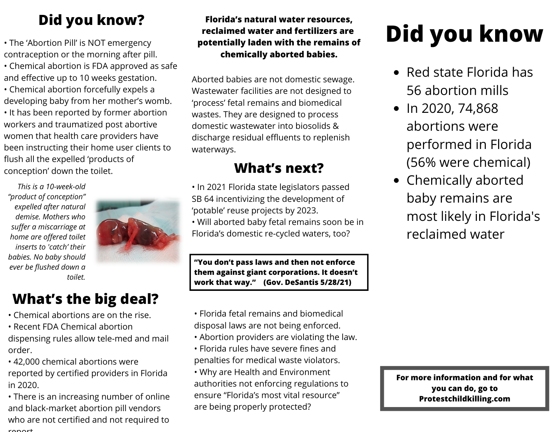## **Did you know?**

• The 'Abortion Pill' is NOT emergency contraception or the morning after pill. • Chemical abortion is FDA approved as safe and effective up to 10 weeks gestation. • Chemical abortion forcefully expels a developing baby from her mother's womb. • It has been reported by former abortion workers and traumatized post abortive women that health care providers have been instructing their home user clients to flush all the expelled 'products of conception' down the toilet.

*This is a 10-week-old "product of conception" expelled after natural demise. Mothers who suffer a miscarriage at home are offered toilet inserts to 'catch' their babies. No baby should ever be flushed down a toilet.*



### **What's the big deal?**

- Chemical abortions are on the rise.
- Recent FDA Chemical abortion dispensing rules allow tele-med and mail order.
- 42,000 chemical abortions were reported by certified providers in Florida in 2020.
- There is an increasing number of online and black-market abortion pill vendors who are not certified and not required to roport

#### **Florida's natural water resources, reclaimed water and fertilizers are potentially laden with the remains of chemically aborted babies.**

Aborted babies are not domestic sewage. Wastewater facilities are not designed to 'process' fetal remains and biomedical wastes. They are designed to process domestic wastewater into biosolids & discharge residual effluents to replenish waterways.

### **What's next?**

• In 2021 Florida state legislators passed SB 64 incentivizing the development of 'potable' reuse projects by 2023.

• Will aborted baby fetal remains soon be in Florida's domestic re-cycled waters, too?

**"You don't pass laws and then not enforce them against giant corporations. It doesn't work that way." (Gov. DeSantis 5/28/21)**

- Florida fetal remains and biomedical disposal laws are not being enforced.
- Abortion providers are violating the law.
- Florida rules have severe fines and penalties for medical waste violators.
- Why are Health and Environment authorities not enforcing regulations to ensure "Florida's most vital resource" are being properly protected?

# **Did you know**

- Red state Florida has 56 abortion mills
- $\bullet$  In 2020, 74,868 abortions were performed in Florida (56% were chemical)
- Chemically aborted baby remains are most likely in Florida's reclaimed water

**For more information and for what you can do, go to Protestchildkilling.com**